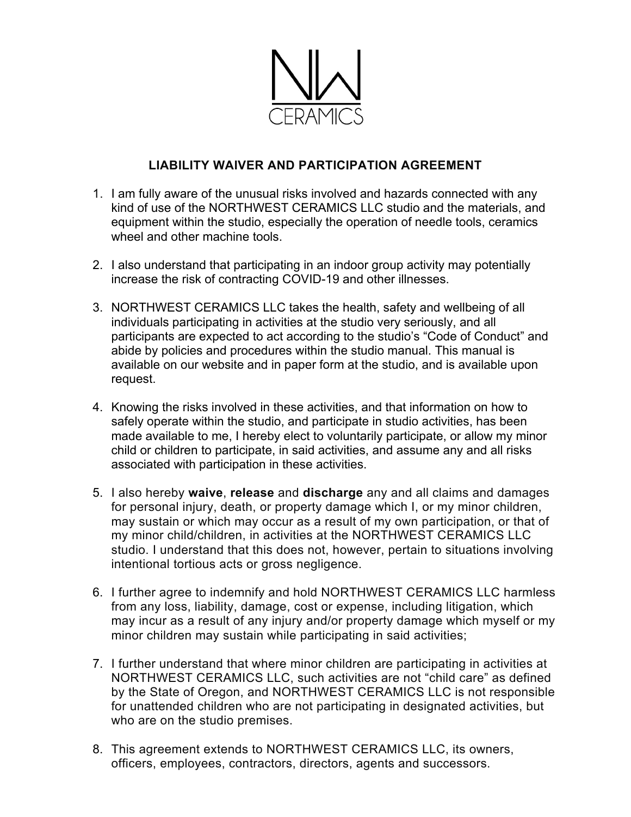

## **LIABILITY WAIVER AND PARTICIPATION AGREEMENT**

- 1. I am fully aware of the unusual risks involved and hazards connected with any kind of use of the NORTHWEST CERAMICS LLC studio and the materials, and equipment within the studio, especially the operation of needle tools, ceramics wheel and other machine tools.
- 2. I also understand that participating in an indoor group activity may potentially increase the risk of contracting COVID-19 and other illnesses.
- 3. NORTHWEST CERAMICS LLC takes the health, safety and wellbeing of all individuals participating in activities at the studio very seriously, and all participants are expected to act according to the studio's "Code of Conduct" and abide by policies and procedures within the studio manual. This manual is available on our website and in paper form at the studio, and is available upon request.
- 4. Knowing the risks involved in these activities, and that information on how to safely operate within the studio, and participate in studio activities, has been made available to me, I hereby elect to voluntarily participate, or allow my minor child or children to participate, in said activities, and assume any and all risks associated with participation in these activities.
- 5. I also hereby **waive**, **release** and **discharge** any and all claims and damages for personal injury, death, or property damage which I, or my minor children, may sustain or which may occur as a result of my own participation, or that of my minor child/children, in activities at the NORTHWEST CERAMICS LLC studio. I understand that this does not, however, pertain to situations involving intentional tortious acts or gross negligence.
- 6. I further agree to indemnify and hold NORTHWEST CERAMICS LLC harmless from any loss, liability, damage, cost or expense, including litigation, which may incur as a result of any injury and/or property damage which myself or my minor children may sustain while participating in said activities;
- 7. I further understand that where minor children are participating in activities at NORTHWEST CERAMICS LLC, such activities are not "child care" as defined by the State of Oregon, and NORTHWEST CERAMICS LLC is not responsible for unattended children who are not participating in designated activities, but who are on the studio premises.
- 8. This agreement extends to NORTHWEST CERAMICS LLC, its owners, officers, employees, contractors, directors, agents and successors.